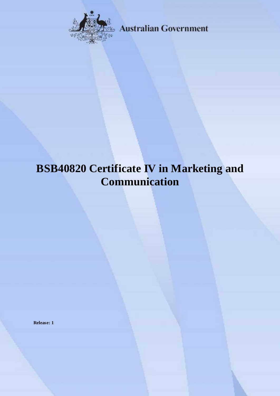

**Australian Government** 

# **BSB40820 Certificate IV in Marketing and Communication**

**Release: 1**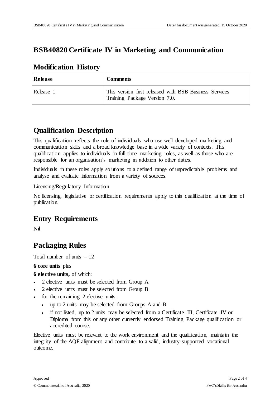#### **BSB40820 Certificate IV in Marketing and Communication**

#### **Modification History**

| Release   | <b>Comments</b>                                                                         |
|-----------|-----------------------------------------------------------------------------------------|
| Release 1 | This version first released with BSB Business Services<br>Training Package Version 7.0. |

#### **Qualification Description**

This qualification reflects the role of individuals who use well developed marketing and communication skills and a broad knowledge base in a wide variety of contexts. This qualification applies to individuals in full-time marketing roles, as well as those who are responsible for an organisation's marketing in addition to other duties.

Individuals in these roles apply solutions to a defined range of unpredictable problems and analyse and evaluate information from a variety of sources.

Licensing/Regulatory Information

No licensing, legislative or certification requirements apply to this qualification at the time of publication.

## **Entry Requirements**

Nil

## **Packaging Rules**

Total number of units  $= 12$ 

**6 core units** plus

**6 elective units,** of which:

- 2 elective units must be selected from Group A
- 2 elective units must be selected from Group B
- for the remaining 2 elective units:
	- up to 2 units may be selected from Groups A and B
	- if not listed, up to 2 units may be selected from a Certificate III, Certificate IV or Diploma from this or any other currently endorsed Training Package qualification or accredited course.

Elective units must be relevant to the work environment and the qualification, maintain the integrity of the AQF alignment and contribute to a valid, industry-supported vocational outcome.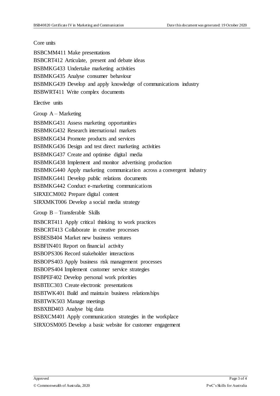#### Core units

BSBCMM411 Make presentations BSBCRT412 Articulate, present and debate ideas BSBMKG433 Undertake marketing activities BSBMKG435 Analyse consumer behaviour BSBMKG439 Develop and apply knowledge of communications industry BSBWRT411 Write complex documents

Elective units

Group A – Marketing

BSBMKG431 Assess marketing opportunities

BSBMKG432 Research international markets

BSBMKG434 Promote products and services

BSBMKG436 Design and test direct marketing activities

BSBMKG437 Create and optimise digital media

BSBMKG438 Implement and monitor advertising production

BSBMKG440 Apply marketing communication across a convergent industry

BSBMKG441 Develop public relations documents

BSBMKG442 Conduct e-marketing communications

SIRXECM002 Prepare digital content

SIRXMKT006 Develop a social media strategy

Group B – Transferable Skills

BSBCRT411 Apply critical thinking to work practices

BSBCRT413 Collaborate in creative processes

BSBESB404 Market new business ventures

BSBFIN401 Report on financial activity

BSBOPS306 Record stakeholder interactions

BSBOPS403 Apply business risk management processes

BSBOPS404 Implement customer service strategies

BSBPEF402 Develop personal work priorities

BSBTEC303 Create electronic presentations

BSBTWK401 Build and maintain business relationships

BSBTWK503 Manage meetings

BSBXBD403 Analyse big data

BSBXCM401 Apply communication strategies in the workplace

SIRXOSM005 Develop a basic website for customer engagement